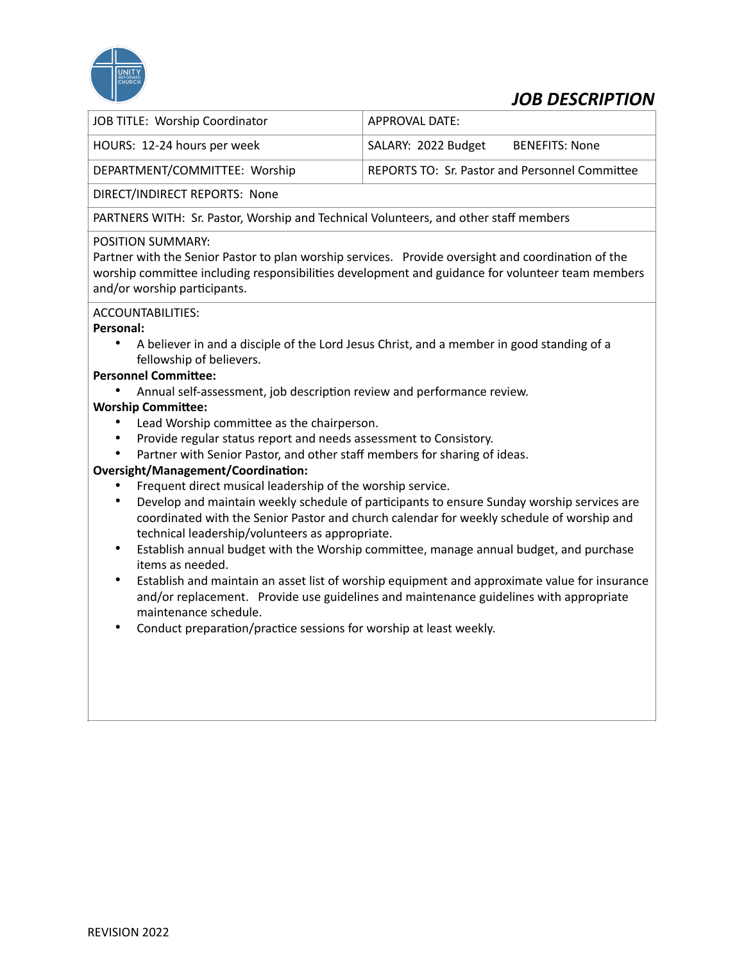

# *JOB DESCRIPTION*

| JOB TITLE: Worship Coordinator | APPROVAL DATE:                                        |
|--------------------------------|-------------------------------------------------------|
| HOURS: 12-24 hours per week    | SALARY: 2022 Budget<br>BENEFITS: None                 |
| DEPARTMENT/COMMITTEE: Worship  | <b>REPORTS TO: Sr. Pastor and Personnel Committee</b> |

DIRECT/INDIRECT REPORTS: None

PARTNERS WITH: Sr. Pastor, Worship and Technical Volunteers, and other staff members

# POSITION SUMMARY:

Partner with the Senior Pastor to plan worship services. Provide oversight and coordination of the worship committee including responsibilities development and guidance for volunteer team members and/or worship participants.

#### ACCOUNTABILITIES:

#### **Personal:**

• A believer in and a disciple of the Lord Jesus Christ, and a member in good standing of a fellowship of believers.

# **Personnel Committee:**

• Annual self-assessment, job description review and performance review.

# **Worship Committee:**

- Lead Worship committee as the chairperson.
- Provide regular status report and needs assessment to Consistory.
- Partner with Senior Pastor, and other staff members for sharing of ideas.

#### **Oversight/Management/Coordination:**

- Frequent direct musical leadership of the worship service.
- Develop and maintain weekly schedule of participants to ensure Sunday worship services are coordinated with the Senior Pastor and church calendar for weekly schedule of worship and technical leadership/volunteers as appropriate.
- Establish annual budget with the Worship committee, manage annual budget, and purchase items as needed.
- Establish and maintain an asset list of worship equipment and approximate value for insurance and/or replacement. Provide use guidelines and maintenance guidelines with appropriate maintenance schedule.
- Conduct preparation/practice sessions for worship at least weekly.